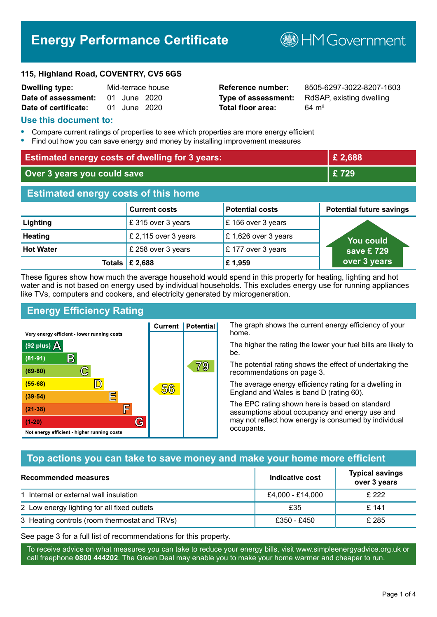# **Energy Performance Certificate**

**B**HM Government

#### **115, Highland Road, COVENTRY, CV5 6GS**

| <b>Dwelling type:</b> |              | Mid-terrace house |
|-----------------------|--------------|-------------------|
| Date of assessment:   | 01 June 2020 |                   |
| Date of certificate:  | 01 June 2020 |                   |

# **Total floor area:** 64 m<sup>2</sup>

**Reference number:** 8505-6297-3022-8207-1603 **Type of assessment:** RdSAP, existing dwelling

#### **Use this document to:**

- **•** Compare current ratings of properties to see which properties are more energy efficient
- **•** Find out how you can save energy and money by installing improvement measures

| <b>Estimated energy costs of dwelling for 3 years:</b> |                           |                        | £2,688                          |
|--------------------------------------------------------|---------------------------|------------------------|---------------------------------|
| Over 3 years you could save                            |                           | £729                   |                                 |
| <b>Estimated energy costs of this home</b>             |                           |                        |                                 |
|                                                        | <b>Current costs</b>      | <b>Potential costs</b> | <b>Potential future savings</b> |
| Lighting                                               | £315 over 3 years         | £156 over 3 years      |                                 |
| <b>Heating</b>                                         | £ 2,115 over 3 years      | £1,626 over 3 years    | You could                       |
| <b>Hot Water</b>                                       | £ 258 over 3 years        | £177 over 3 years      | save £729                       |
|                                                        | Totals $\mathsf{E}$ 2,688 | £1,959                 | over 3 years                    |

These figures show how much the average household would spend in this property for heating, lighting and hot water and is not based on energy used by individual households. This excludes energy use for running appliances like TVs, computers and cookers, and electricity generated by microgeneration.

**Current | Potential** 

56

# **Energy Efficiency Rating**

 $\mathbb{C}$ 

 $\mathbb{D}$ 

E

庐

G

Very energy efficient - lower running costs

 $\mathsf{R}% _{T}$ 

Not energy efficient - higher running costs

(92 plus)  $\Delta$ 

 $(81 - 91)$ 

 $(69 - 80)$ 

 $(55-68)$ 

 $(39 - 54)$ 

 $(21-38)$ 

 $(1-20)$ 

The graph shows the current energy efficiency of your home.

The higher the rating the lower your fuel bills are likely to be.

The potential rating shows the effect of undertaking the recommendations on page 3.

The average energy efficiency rating for a dwelling in England and Wales is band D (rating 60).

The EPC rating shown here is based on standard assumptions about occupancy and energy use and may not reflect how energy is consumed by individual occupants.

# **Top actions you can take to save money and make your home more efficient**

79

| Recommended measures                          | Indicative cost  | <b>Typical savings</b><br>over 3 years |
|-----------------------------------------------|------------------|----------------------------------------|
| 1 Internal or external wall insulation        | £4,000 - £14,000 | £ 222                                  |
| 2 Low energy lighting for all fixed outlets   | £35              | £141                                   |
| 3 Heating controls (room thermostat and TRVs) | £350 - £450      | £ 285                                  |

See page 3 for a full list of recommendations for this property.

To receive advice on what measures you can take to reduce your energy bills, visit www.simpleenergyadvice.org.uk or call freephone **0800 444202**. The Green Deal may enable you to make your home warmer and cheaper to run.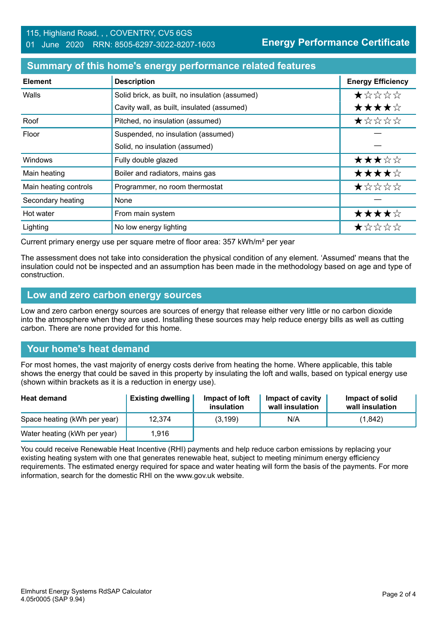### **Summary of this home's energy performance related features**

| <b>Element</b>        | <b>Description</b>                             | <b>Energy Efficiency</b> |
|-----------------------|------------------------------------------------|--------------------------|
| Walls                 | Solid brick, as built, no insulation (assumed) | *****                    |
|                       | Cavity wall, as built, insulated (assumed)     | ★★★★☆                    |
| Roof                  | Pitched, no insulation (assumed)               | ★☆☆☆☆                    |
| Floor                 | Suspended, no insulation (assumed)             |                          |
|                       | Solid, no insulation (assumed)                 |                          |
| Windows               | Fully double glazed                            | ★★★☆☆                    |
| Main heating          | Boiler and radiators, mains gas                | ★★★★☆                    |
| Main heating controls | Programmer, no room thermostat                 | ★☆☆☆☆                    |
| Secondary heating     | None                                           |                          |
| Hot water             | From main system                               | ★★★★☆                    |
| Lighting              | No low energy lighting                         | ★☆☆☆☆                    |

Current primary energy use per square metre of floor area: 357 kWh/m² per year

The assessment does not take into consideration the physical condition of any element. 'Assumed' means that the insulation could not be inspected and an assumption has been made in the methodology based on age and type of construction.

#### **Low and zero carbon energy sources**

Low and zero carbon energy sources are sources of energy that release either very little or no carbon dioxide into the atmosphere when they are used. Installing these sources may help reduce energy bills as well as cutting carbon. There are none provided for this home.

# **Your home's heat demand**

For most homes, the vast majority of energy costs derive from heating the home. Where applicable, this table shows the energy that could be saved in this property by insulating the loft and walls, based on typical energy use (shown within brackets as it is a reduction in energy use).

| <b>Heat demand</b>           | <b>Existing dwelling</b> | Impact of loft<br>insulation | Impact of cavity<br>wall insulation | Impact of solid<br>wall insulation |
|------------------------------|--------------------------|------------------------------|-------------------------------------|------------------------------------|
| Space heating (kWh per year) | 12,374                   | (3, 199)                     | N/A                                 | (1,842)                            |
| Water heating (kWh per year) | 1.916                    |                              |                                     |                                    |

You could receive Renewable Heat Incentive (RHI) payments and help reduce carbon emissions by replacing your existing heating system with one that generates renewable heat, subject to meeting minimum energy efficiency requirements. The estimated energy required for space and water heating will form the basis of the payments. For more information, search for the domestic RHI on the www.gov.uk website.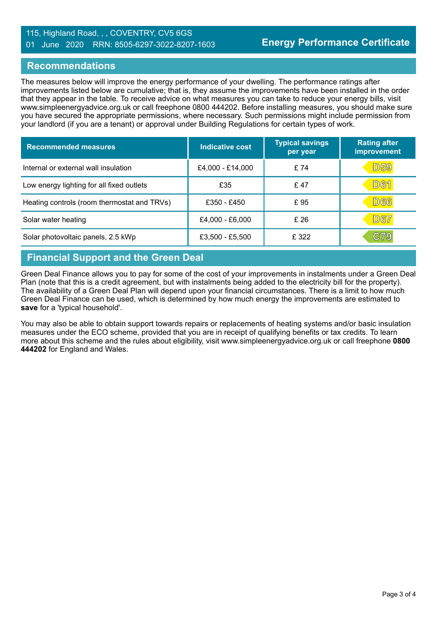### 115, Highland Road, , , COVENTRY, CV5 6GS 01 June 2020 RRN: 8505-6297-3022-8207-1603

#### **Recommendations**

The measures below will improve the energy performance of your dwelling. The performance ratings after improvements listed below are cumulative; that is, they assume the improvements have been installed in the order that they appear in the table. To receive advice on what measures you can take to reduce your energy bills, visit www.simpleenergyadvice.org.uk or call freephone 0800 444202. Before installing measures, you should make sure you have secured the appropriate permissions, where necessary. Such permissions might include permission from your landlord (if you are a tenant) or approval under Building Regulations for certain types of work.

| <b>Recommended measures</b>                 | Indicative cost  | <b>Typical savings</b><br>per year | <b>Rating after</b><br>improvement |
|---------------------------------------------|------------------|------------------------------------|------------------------------------|
| Internal or external wall insulation        | £4,000 - £14,000 | £74                                | <u>D59</u>                         |
| Low energy lighting for all fixed outlets   | £35              | £47                                | <b>D61</b>                         |
| Heating controls (room thermostat and TRVs) | £350 - £450      | £95                                | D66                                |
| Solar water heating                         | £4,000 - £6,000  | £26                                | <b>D67</b>                         |
| Solar photovoltaic panels, 2.5 kWp          | £3,500 - £5,500  | £ 322                              | C79                                |

# **Financial Support and the Green Deal**

Green Deal Finance allows you to pay for some of the cost of your improvements in instalments under a Green Deal Plan (note that this is a credit agreement, but with instalments being added to the electricity bill for the property). The availability of a Green Deal Plan will depend upon your financial circumstances. There is a limit to how much Green Deal Finance can be used, which is determined by how much energy the improvements are estimated to **save** for a 'typical household'.

You may also be able to obtain support towards repairs or replacements of heating systems and/or basic insulation measures under the ECO scheme, provided that you are in receipt of qualifying benefits or tax credits. To learn more about this scheme and the rules about eligibility, visit www.simpleenergyadvice.org.uk or call freephone **0800 444202** for England and Wales.